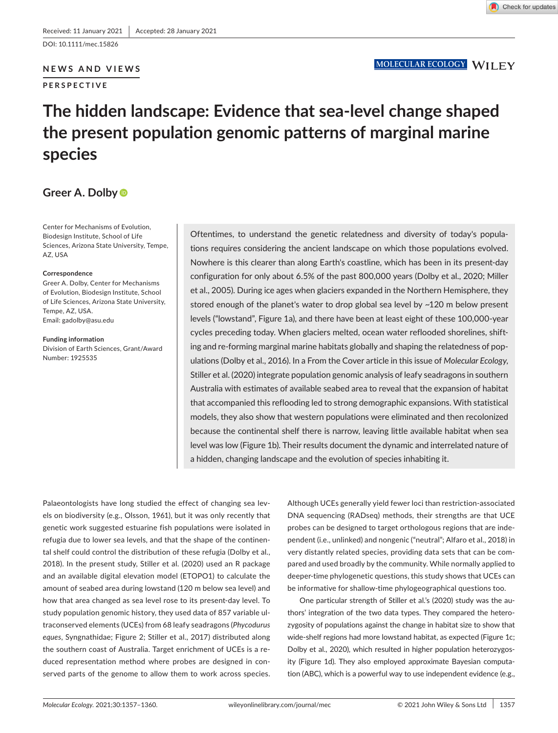DOI: 10.1111/mec.15826

## **NEWS AND VIEWS**

**PERSPECTIVE**

# **The hidden landscape: Evidence that sea-level change shaped the present population genomic patterns of marginal marine species**

# **Greer A. Dolby**

Center for Mechanisms of Evolution, Biodesign Institute, School of Life Sciences, Arizona State University, Tempe, AZ, USA

#### **Correspondence**

Greer A. Dolby, Center for Mechanisms of Evolution, Biodesign Institute, School of Life Sciences, Arizona State University, Tempe, AZ, USA. Email: [gadolby@asu.edu](mailto:gadolby@asu.edu)

**Funding information** Division of Earth Sciences, Grant/Award Number: 1925535

Oftentimes, to understand the genetic relatedness and diversity of today's populations requires considering the ancient landscape on which those populations evolved. Nowhere is this clearer than along Earth's coastline, which has been in its present-day configuration for only about 6.5% of the past 800,000 years (Dolby et al., 2020; Miller et al., 2005). During ice ages when glaciers expanded in the Northern Hemisphere, they stored enough of the planet's water to drop global sea level by ~120 m below present levels ("lowstand", Figure 1a), and there have been at least eight of these 100,000-year cycles preceding today. When glaciers melted, ocean water reflooded shorelines, shifting and re-forming marginal marine habitats globally and shaping the relatedness of populations (Dolby et al., 2016). In a From the Cover article in this issue of *Molecular Ecology*, Stiller et al. (2020) integrate population genomic analysis of leafy seadragons in southern Australia with estimates of available seabed area to reveal that the expansion of habitat that accompanied this reflooding led to strong demographic expansions. With statistical models, they also show that western populations were eliminated and then recolonized because the continental shelf there is narrow, leaving little available habitat when sea level was low (Figure 1b). Their results document the dynamic and interrelated nature of a hidden, changing landscape and the evolution of species inhabiting it.

Palaeontologists have long studied the effect of changing sea levels on biodiversity (e.g., Olsson, 1961), but it was only recently that genetic work suggested estuarine fish populations were isolated in refugia due to lower sea levels, and that the shape of the continental shelf could control the distribution of these refugia (Dolby et al., 2018). In the present study, Stiller et al. (2020) used an R package and an available digital elevation model (ETOPO1) to calculate the amount of seabed area during lowstand (120 m below sea level) and how that area changed as sea level rose to its present-day level. To study population genomic history, they used data of 857 variable ultraconserved elements (UCEs) from 68 leafy seadragons (*Phycodurus eques*, Syngnathidae; Figure 2; Stiller et al., 2017) distributed along the southern coast of Australia. Target enrichment of UCEs is a reduced representation method where probes are designed in conserved parts of the genome to allow them to work across species.

Although UCEs generally yield fewer loci than restriction-associated DNA sequencing (RADseq) methods, their strengths are that UCE probes can be designed to target orthologous regions that are independent (i.e., unlinked) and nongenic ("neutral"; Alfaro et al., 2018) in very distantly related species, providing data sets that can be compared and used broadly by the community. While normally applied to deeper-time phylogenetic questions, this study shows that UCEs can be informative for shallow-time phylogeographical questions too.

One particular strength of Stiller et al.'s (2020) study was the authors' integration of the two data types. They compared the heterozygosity of populations against the change in habitat size to show that wide-shelf regions had more lowstand habitat, as expected (Figure 1c; Dolby et al., 2020), which resulted in higher population heterozygosity (Figure 1d). They also employed approximate Bayesian computation (ABC), which is a powerful way to use independent evidence (e.g.,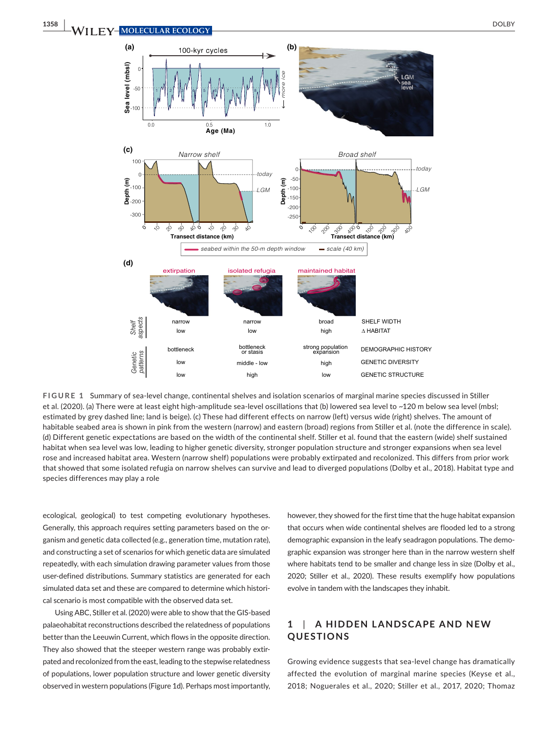

**FIGURE 1** Summary of sea-level change, continental shelves and isolation scenarios of marginal marine species discussed in Stiller et al. (2020). (a) There were at least eight high-amplitude sea-level oscillations that (b) lowered sea level to ~120 m below sea level (mbsl; estimated by grey dashed line; land is beige). (c) These had different effects on narrow (left) versus wide (right) shelves. The amount of habitable seabed area is shown in pink from the western (narrow) and eastern (broad) regions from Stiller et al. (note the difference in scale). (d) Different genetic expectations are based on the width of the continental shelf. Stiller et al. found that the eastern (wide) shelf sustained habitat when sea level was low, leading to higher genetic diversity, stronger population structure and stronger expansions when sea level rose and increased habitat area. Western (narrow shelf) populations were probably extirpated and recolonized. This differs from prior work that showed that some isolated refugia on narrow shelves can survive and lead to diverged populations (Dolby et al., 2018). Habitat type and species differences may play a role

ecological, geological) to test competing evolutionary hypotheses. Generally, this approach requires setting parameters based on the organism and genetic data collected (e.g., generation time, mutation rate), and constructing a set of scenarios for which genetic data are simulated repeatedly, with each simulation drawing parameter values from those user-defined distributions. Summary statistics are generated for each simulated data set and these are compared to determine which historical scenario is most compatible with the observed data set.

Using ABC, Stiller et al. (2020) were able to show that the GIS-based palaeohabitat reconstructions described the relatedness of populations better than the Leeuwin Current, which flows in the opposite direction. They also showed that the steeper western range was probably extirpated and recolonized from the east, leading to the stepwise relatedness of populations, lower population structure and lower genetic diversity observed in western populations (Figure 1d). Perhaps most importantly,

however, they showed for the first time that the huge habitat expansion that occurs when wide continental shelves are flooded led to a strong demographic expansion in the leafy seadragon populations. The demographic expansion was stronger here than in the narrow western shelf where habitats tend to be smaller and change less in size (Dolby et al., 2020; Stiller et al., 2020). These results exemplify how populations evolve in tandem with the landscapes they inhabit.

## **1**  | **A HIDDEN L ANDSC APE AND NE W QUESTIONS**

Growing evidence suggests that sea-level change has dramatically affected the evolution of marginal marine species (Keyse et al., 2018; Noguerales et al., 2020; Stiller et al., 2017, 2020; Thomaz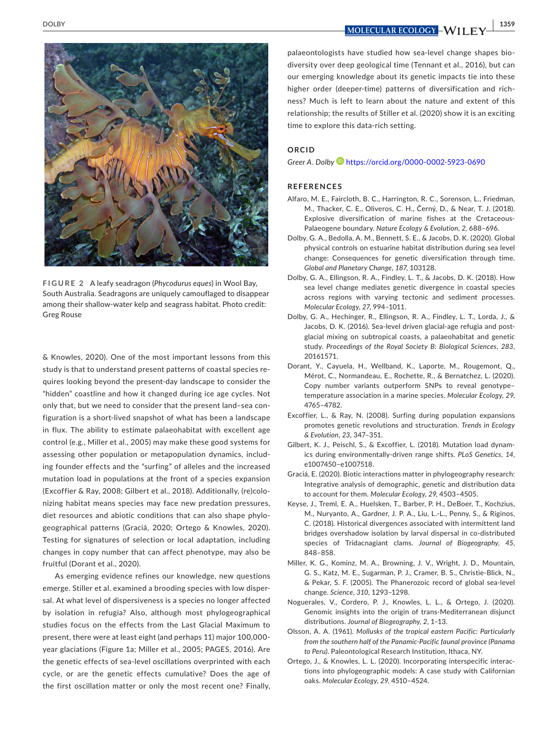**<u>DOLBY 1359**<br> **NOLECULAR ECOLOGY** WILL FV</u>



**FIGURE 2** A leafy seadragon (*Phycodurus eques*) in Wool Bay, South Australia. Seadragons are uniquely camouflaged to disappear among their shallow-water kelp and seagrass habitat. Photo credit: Greg Rouse

& Knowles, 2020). One of the most important lessons from this study is that to understand present patterns of coastal species requires looking beyond the present-day landscape to consider the "hidden" coastline and how it changed during ice age cycles. Not only that, but we need to consider that the present land–sea configuration is a short-lived snapshot of what has been a landscape in flux. The ability to estimate palaeohabitat with excellent age control (e.g., Miller et al., 2005) may make these good systems for assessing other population or metapopulation dynamics, including founder effects and the "surfing" of alleles and the increased mutation load in populations at the front of a species expansion (Excoffier & Ray, 2008; Gilbert et al., 2018). Additionally, (re)colonizing habitat means species may face new predation pressures, diet resources and abiotic conditions that can also shape phylogeographical patterns (Graciá, 2020; Ortego & Knowles, 2020). Testing for signatures of selection or local adaptation, including changes in copy number that can affect phenotype, may also be fruitful (Dorant et al., 2020).

As emerging evidence refines our knowledge, new questions emerge. Stiller et al. examined a brooding species with low dispersal. At what level of dispersiveness is a species no longer affected by isolation in refugia? Also, although most phylogeographical studies focus on the effects from the Last Glacial Maximum to present, there were at least eight (and perhaps 11) major 100,000 year glaciations (Figure 1a; Miller et al., 2005; PAGES, 2016). Are the genetic effects of sea-level oscillations overprinted with each cycle, or are the genetic effects cumulative? Does the age of the first oscillation matter or only the most recent one? Finally,

palaeontologists have studied how sea-level change shapes biodiversity over deep geological time (Tennant et al., 2016), but can our emerging knowledge about its genetic impacts tie into these higher order (deeper-time) patterns of diversification and richness? Much is left to learn about the nature and extent of this relationship; the results of Stiller et al. (2020) show it is an exciting time to explore this data-rich setting.

## **ORCID**

*Greer A. Dolby* <https://orcid.org/0000-0002-5923-0690>

### **REFERENCES**

- Alfaro, M. E., Faircloth, B. C., Harrington, R. C., Sorenson, L., Friedman, M., Thacker, C. E., Oliveros, C. H., Černý, D., & Near, T. J. (2018). Explosive diversification of marine fishes at the Cretaceous-Palaeogene boundary. *Nature Ecology & Evolution*, *2*, 688–696.
- Dolby, G. A., Bedolla, A. M., Bennett, S. E., & Jacobs, D. K. (2020). Global physical controls on estuarine habitat distribution during sea level change: Consequences for genetic diversification through time. *Global and Planetary Change*, *187*, 103128.
- Dolby, G. A., Ellingson, R. A., Findley, L. T., & Jacobs, D. K. (2018). How sea level change mediates genetic divergence in coastal species across regions with varying tectonic and sediment processes. *Molecular Ecology*, *27*, 994–1011.
- Dolby, G. A., Hechinger, R., Ellingson, R. A., Findley, L. T., Lorda, J., & Jacobs, D. K. (2016). Sea-level driven glacial-age refugia and postglacial mixing on subtropical coasts, a palaeohabitat and genetic study. *Proceedings of the Royal Society B: Biological Sciences*, *283*, 20161571.
- Dorant, Y., Cayuela, H., Wellband, K., Laporte, M., Rougemont, Q., Mérot, C., Normandeau, E., Rochette, R., & Bernatchez, L. (2020). Copy number variants outperform SNPs to reveal genotype– temperature association in a marine species. *Molecular Ecology*, *29*, 4765–4782.
- Excoffier, L., & Ray, N. (2008). Surfing during population expansions promotes genetic revolutions and structuration. *Trends in Ecology & Evolution*, *23*, 347–351.
- Gilbert, K. J., Peischl, S., & Excoffier, L. (2018). Mutation load dynamics during environmentally-driven range shifts. *PLoS Genetics*, *14*, e1007450–e1007518.
- Graciá, E. (2020). Biotic interactions matter in phylogeography research: Integrative analysis of demographic, genetic and distribution data to account for them. *Molecular Ecology*, *29*, 4503–4505.
- Keyse, J., Treml, E. A., Huelsken, T., Barber, P. H., DeBoer, T., Kochzius, M., Nuryanto, A., Gardner, J. P. A., Liu, L.-L., Penny, S., & Riginos, C. (2018). Historical divergences associated with intermittent land bridges overshadow isolation by larval dispersal in co-distributed species of Tridacnagiant clams. *Journal of Biogeography*, *45*, 848–858.
- Miller, K. G., Kominz, M. A., Browning, J. V., Wright, J. D., Mountain, G. S., Katz, M. E., Sugarman, P. J., Cramer, B. S., Christie-Blick, N., & Pekar, S. F. (2005). The Phanerozoic record of global sea-level change. *Science*, *310*, 1293–1298.
- Noguerales, V., Cordero, P. J., Knowles, L. L., & Ortego, J. (2020). Genomic insights into the origin of trans-Mediterranean disjunct distributions. *Journal of Biogeography*, *2*, 1–13.
- Olsson, A. A. (1961). *Mollusks of the tropical eastern Pacific: Particularly from the southern half of the Panamic-Pacific faunal province (Panama to Peru)*. Paleontological Research Institution, Ithaca, NY.
- Ortego, J., & Knowles, L. L. (2020). Incorporating interspecific interactions into phylogeographic models: A case study with Californian oaks. *Molecular Ecology*, *29*, 4510–4524.